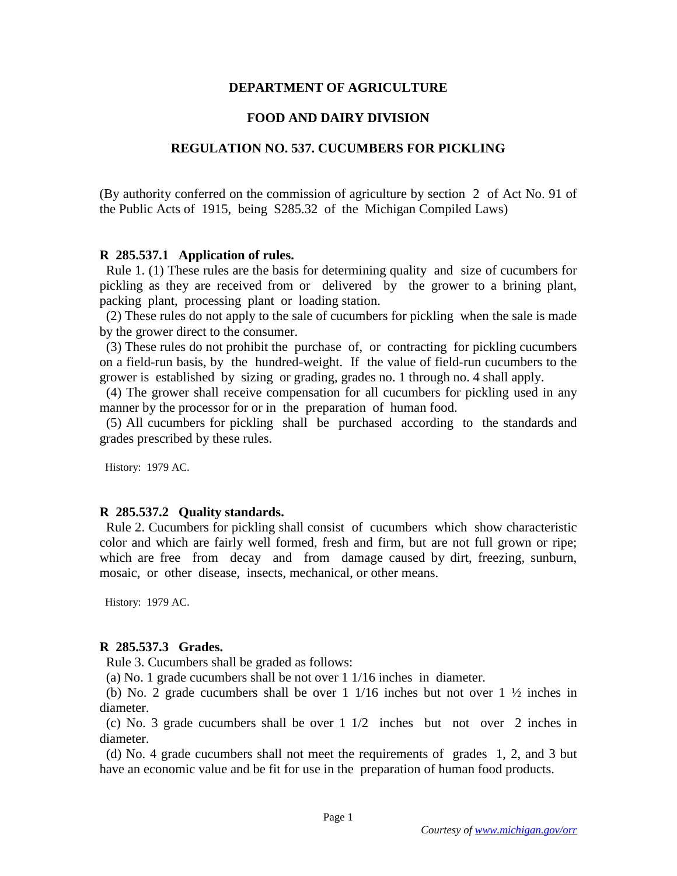### **DEPARTMENT OF AGRICULTURE**

## **FOOD AND DAIRY DIVISION**

## **REGULATION NO. 537. CUCUMBERS FOR PICKLING**

(By authority conferred on the commission of agriculture by section 2 of Act No. 91 of the Public Acts of 1915, being S285.32 of the Michigan Compiled Laws)

### **R 285.537.1 Application of rules.**

 Rule 1. (1) These rules are the basis for determining quality and size of cucumbers for pickling as they are received from or delivered by the grower to a brining plant, packing plant, processing plant or loading station.

 (2) These rules do not apply to the sale of cucumbers for pickling when the sale is made by the grower direct to the consumer.

 (3) These rules do not prohibit the purchase of, or contracting for pickling cucumbers on a field-run basis, by the hundred-weight. If the value of field-run cucumbers to the grower is established by sizing or grading, grades no. 1 through no. 4 shall apply.

 (4) The grower shall receive compensation for all cucumbers for pickling used in any manner by the processor for or in the preparation of human food.

 (5) All cucumbers for pickling shall be purchased according to the standards and grades prescribed by these rules.

History: 1979 AC.

#### **R 285.537.2 Quality standards.**

 Rule 2. Cucumbers for pickling shall consist of cucumbers which show characteristic color and which are fairly well formed, fresh and firm, but are not full grown or ripe; which are free from decay and from damage caused by dirt, freezing, sunburn, mosaic, or other disease, insects, mechanical, or other means.

History: 1979 AC.

#### **R 285.537.3 Grades.**

Rule 3. Cucumbers shall be graded as follows:

(a) No. 1 grade cucumbers shall be not over 1 1/16 inches in diameter.

 (b) No. 2 grade cucumbers shall be over 1 1/16 inches but not over 1 ½ inches in diameter.

 (c) No. 3 grade cucumbers shall be over 1 1/2 inches but not over 2 inches in diameter.

 (d) No. 4 grade cucumbers shall not meet the requirements of grades 1, 2, and 3 but have an economic value and be fit for use in the preparation of human food products.